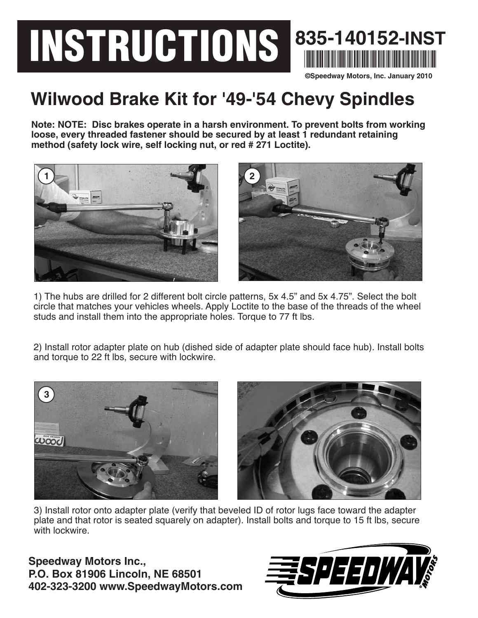## **INSTRUCTIONS 835-140152-INST** \*835-140152-INST\* **©Speedway Motors, Inc. January 2010**

## **Wilwood Brake Kit for '49-'54 Chevy Spindles**

**Note: NOTE: Disc brakes operate in a harsh environment. To prevent bolts from working loose, every threaded fastener should be secured by at least 1 redundant retaining method (safety lock wire, self locking nut, or red # 271 Loctite).**



1) The hubs are drilled for 2 different bolt circle patterns, 5x 4.5" and 5x 4.75". Select the bolt circle that matches your vehicles wheels. Apply Loctite to the base of the threads of the wheel studs and install them into the appropriate holes. Torque to 77 ft lbs.

2) Install rotor adapter plate on hub (dished side of adapter plate should face hub). Install bolts and torque to 22 ft lbs, secure with lockwire.





3) Install rotor onto adapter plate (verify that beveled ID of rotor lugs face toward the adapter plate and that rotor is seated squarely on adapter). Install bolts and torque to 15 ft lbs, secure with lockwire.

**Speedway Motors Inc., P.O. Box 81906 Lincoln, NE 68501 402-323-3200 www.SpeedwayMotors.com**

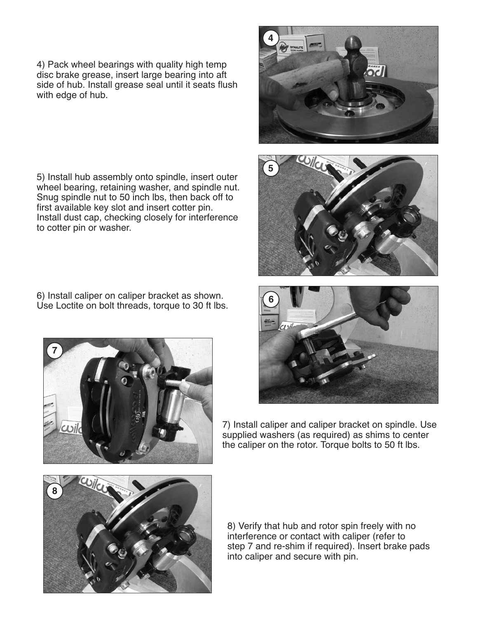4) Pack wheel bearings with quality high temp disc brake grease, insert large bearing into aft side of hub. Install grease seal until it seats flush with edge of hub.

5) Install hub assembly onto spindle, insert outer wheel bearing, retaining washer, and spindle nut. Snug spindle nut to 50 inch lbs, then back off to first available key slot and insert cotter pin. Install dust cap, checking closely for interference to cotter pin or washer.

6) Install caliper on caliper bracket as shown. Use Loctite on bolt threads, torque to 30 ft lbs.









7) Install caliper and caliper bracket on spindle. Use supplied washers (as required) as shims to center the caliper on the rotor. Torque bolts to 50 ft lbs.



8) Verify that hub and rotor spin freely with no interference or contact with caliper (refer to step 7 and re-shim if required). Insert brake pads into caliper and secure with pin.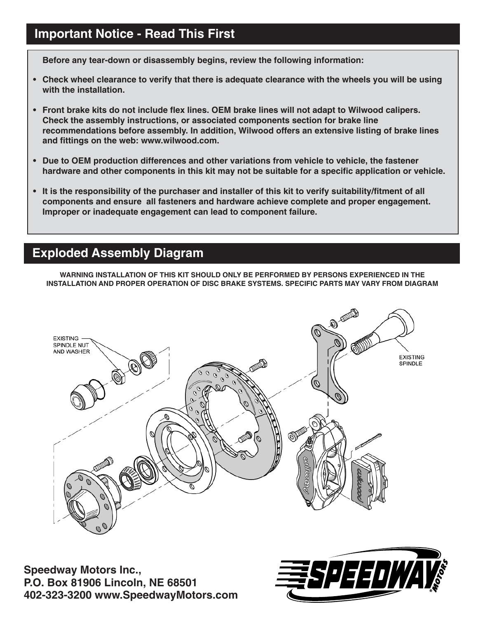## **Important Notice - Read This First**

**Before any tear-down or disassembly begins, review the following information:**

- **Check wheel clearance to verify that there is adequate clearance with the wheels you will be using with the installation.**
- **Front brake kits do not include flex lines. OEM brake lines will not adapt to Wilwood calipers. Check the assembly instructions, or associated components section for brake line recommendations before assembly. In addition, Wilwood offers an extensive listing of brake lines and fittings on the web: www.wilwood.com.**
- **Due to OEM production differences and other variations from vehicle to vehicle, the fastener hardware and other components in this kit may not be suitable for a specific application or vehicle.**
- **It is the responsibility of the purchaser and installer of this kit to verify suitability/fitment of all components and ensure all fasteners and hardware achieve complete and proper engagement. Improper or inadequate engagement can lead to component failure.**

## **Exploded Assembly Diagram**

**WARNING INSTALLATION OF THIS KIT SHOULD ONLY BE PERFORMED BY PERSONS EXPERIENCED IN THE INSTALLATION AND PROPER OPERATION OF DISC BRAKE SYSTEMS. SPECIFIC PARTS MAY VARY FROM DIAGRAM**



**Speedway Motors Inc., P.O. Box 81906 Lincoln, NE 68501 402-323-3200 www.SpeedwayMotors.com**

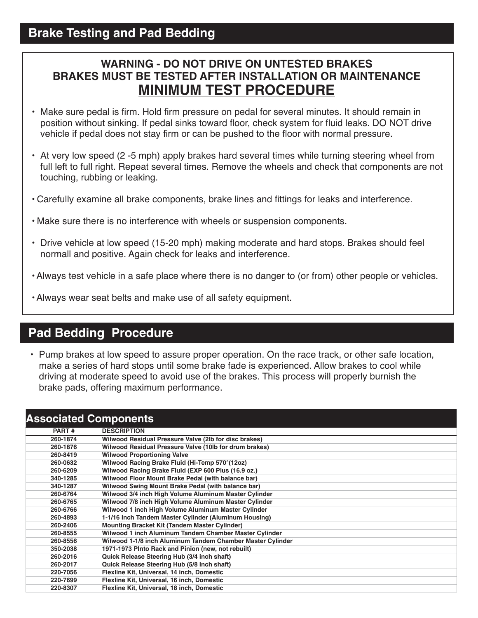## **WARNING - DO NOT DRIVE ON UNTESTED BRAKES BRAKES MUST BE TESTED AFTER INSTALLATION OR MAINTENANCE MINIMUM TEST PROCEDURE**

- Make sure pedal is firm. Hold firm pressure on pedal for several minutes. It should remain in position without sinking. If pedal sinks toward floor, check system for fluid leaks. DO NOT drive vehicle if pedal does not stay firm or can be pushed to the floor with normal pressure.
- At very low speed (2 -5 mph) apply brakes hard several times while turning steering wheel from full left to full right. Repeat several times. Remove the wheels and check that components are not touching, rubbing or leaking.
- Carefully examine all brake components, brake lines and fittings for leaks and interference.
- Make sure there is no interference with wheels or suspension components.
- Drive vehicle at low speed (15-20 mph) making moderate and hard stops. Brakes should feel normall and positive. Again check for leaks and interference.
- Always test vehicle in a safe place where there is no danger to (or from) other people or vehicles.
- Always wear seat belts and make use of all safety equipment.

## **Pad Bedding Procedure**

• Pump brakes at low speed to assure proper operation. On the race track, or other safe location, make a series of hard stops until some brake fade is experienced. Allow brakes to cool while driving at moderate speed to avoid use of the brakes. This process will properly burnish the brake pads, offering maximum performance.

| <b>Associated Components</b> |                                                            |
|------------------------------|------------------------------------------------------------|
| PART#                        | <b>DESCRIPTION</b>                                         |
| 260-1874                     | Wilwood Residual Pressure Valve (2lb for disc brakes)      |
| 260-1876                     | Wilwood Residual Pressure Valve (10lb for drum brakes)     |
| 260-8419                     | <b>Wilwood Proportioning Valve</b>                         |
| 260-0632                     | Wilwood Racing Brake Fluid (Hi-Temp 570°(12oz)             |
| 260-6209                     | Wilwood Racing Brake Fluid (EXP 600 Plus (16.9 oz.)        |
| 340-1285                     | Wilwood Floor Mount Brake Pedal (with balance bar)         |
| 340-1287                     | Wilwood Swing Mount Brake Pedal (with balance bar)         |
| 260-6764                     | Wilwood 3/4 inch High Volume Aluminum Master Cylinder      |
| 260-6765                     | Wilwood 7/8 inch High Volume Aluminum Master Cylinder      |
| 260-6766                     | Wilwood 1 inch High Volume Aluminum Master Cylinder        |
| 260-4893                     | 1-1/16 inch Tandem Master Cylinder (Aluminum Housing)      |
| 260-2406                     | <b>Mounting Bracket Kit (Tandem Master Cylinder)</b>       |
| 260-8555                     | Wilwood 1 inch Aluminum Tandem Chamber Master Cylinder     |
| 260-8556                     | Wilwood 1-1/8 inch Aluminum Tandem Chamber Master Cylinder |
| 350-2038                     | 1971-1973 Pinto Rack and Pinion (new, not rebuilt)         |
| 260-2016                     | Quick Release Steering Hub (3/4 inch shaft)                |
| 260-2017                     | Quick Release Steering Hub (5/8 inch shaft)                |
| 220-7056                     | Flexline Kit, Universal, 14 inch, Domestic                 |
| 220-7699                     | Flexline Kit, Universal, 16 inch, Domestic                 |
| 220-8307                     | Flexline Kit, Universal, 18 inch, Domestic                 |